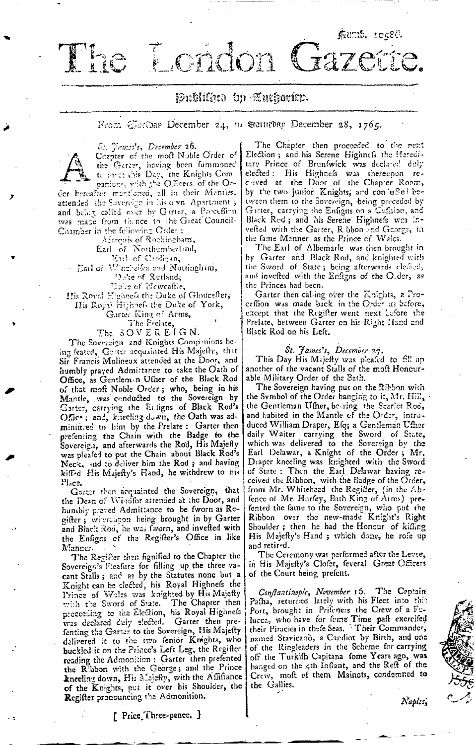London Ciazer

# Publika bp Auchoritp.

## From  $\mathbb{Z}$ sribar December 24, to Saturbag December 28, 1765.



The

8: Janes's, December 26. Chapter of the moft Noble Order of the Garter, having been fummoned to part chis Day, the Knights Com

attended the Sovereign in his own Apartment ; and being called over by Garter, a Preceffion was made from thence to the Great Council-Chamber in the following Order:

Marquis of Rockingham, Earl of Northumberlind,<br>Earl of Unchelend,<br>Earl of Unchelea and Nottingham,<br>Duite of Rutland,<br>Duite of Newcaftle,

His Royal Eighnefs the Duke of Gloucefter, His Royal Highnefs the Duke of York,

Garter King of Arms,

The Prelate,<br>The SOVEREIGN.

The Sovereign and Knights Compenions being feated, Garter acquainted His Majefty, that Sir Francis Molineux attended at the Door, and humbly prayed Admittance to take the Oath of Office, as Gentlem n Uffier of the Black Rod of that moft Noble Order; who, being in his Mantle, was conducted to the Sovereign by Garter, carrying the Enligns of Black Rod's Office; and, kheeling down, the Oath was adminifired to him by the Prelate: Garter then prefensing the Chain with the Badge to the Sovereign, and afterwards the Rod, His Majefly was pleafed to put the Chain about Black Rod's Neck, and to deliver him the Rod; and having kiffed His Majefty's Hand, he withdrew to his Place.

Garter then acquainted the Sovereign, that the Dean of Windfor attended at the Door, and humbly praved Admittance to be fworn as Regifter; witercupon being brought in by Garter and Black Rod, he was fworn, and invested with the Enfigas of the Regifter's Office in like Manner.

The Regifter then fignified to the Chapter the Sovereign's Pleafure for filling up the three vacant Stalls; and as by the Statutes none but a Knight can be cleeted, his Royal Highness the Prince of Wales was knighted by His Majefty<br>with the Sword of State. The Chapter then preceeding to the Election, his Royal Highnels was declared duly elected. Garter then prefenting the Garter to the Sovereign, His Majefty<br>delivered it to the two fenior Knights, who buckled it on the Prince's Left Leg, the Regifter reading the Admonition: Garter then prefented the Ribbon with the George; and the Prince kneeling down, His Majefly, with the Affiftance of the Knights, put it over his Shoulder, the Regifter pronouncing the Admonition.

The Chapter then proceeded to the next Election ; and his Serene Highnefs the Hereditary Prince of Brenfwick was declared duly elected: His Highness was thereupon reby the two junior Knights, and con usel between them to the Sovereign, being preceded by Garter, carrying the Enfigns on a Cufation, and Black Red; and his Serene Highnefs was invefted with the Garter, R bbon and George, in the fame Manner as the Prince of Walcs.

faunt. 10486.

The Earl of Albemarle was then brought in by Garter and Black Rod, and knighted with the Sword of State; being afterwards elected, and invefted with the Enfigns of the O.der, as the Princes had been.

Garter then calling over the Knights, a Proceffion was made back in the Order as before, except that the Regifter went next Lefore the Prelate, between Garter on his Right Hand and Black Rod on his Left.

#### St. James's, December 27.

This Day His Majefty was pleafed to fill up another of the vacant Stalls of the moft Honcurable Military Order of the Sath.

The Sovereign having put on the Ribbon with the Symbol of the Order hanging to it, Mr. Hill, the Gentleman Ufher, be ring the Scarlet Rod, and habited in the Mantle of the Order, introduced William Draper, Efq; a Gentleman Ufher daily Waiter carrying the Sword of State, which was delivered to the Sovereign by the Earl Delawar, a Knight of the Order; Mr. Draper kneeling was kriighted with the Sword<br>of State: Then the Earl Delawar having received the Ribbon, with the Badge of the Order, from Mr. Whitehead the Register, (in the Ab-<br>fence of Mr. Herfey, Bath King of Arms) prefented the faine to the Sovereign, who put the Ribbon over the new-made Knight's Right Shoulder; then he had the Honcur of kiffing His Majefty's Hand ; which done, he rofe up and retired.

The Ceremony was performed after the Levee, in His Majefly's Clofet, feveral Great Officers of the Court being prefent.

Conflantinople, November 16. The Ceptain Pafha, returned lately with his Fleet into this Port, brought in Prifeners the Crew of a Fclucca, who have for forne Time paft exercifed<br>their Piracies in thefe Seas. Their Commander, named Stavicano, a Candiot by Birth, and one of the Ringleaders in the Scheme for carrying off the Turkifh Capitana fome Years ago, was<br>hanged on the 4th Infrant, and the Reft of the Crew, moft of them Mainots, condemned to the Gallies.

Naples,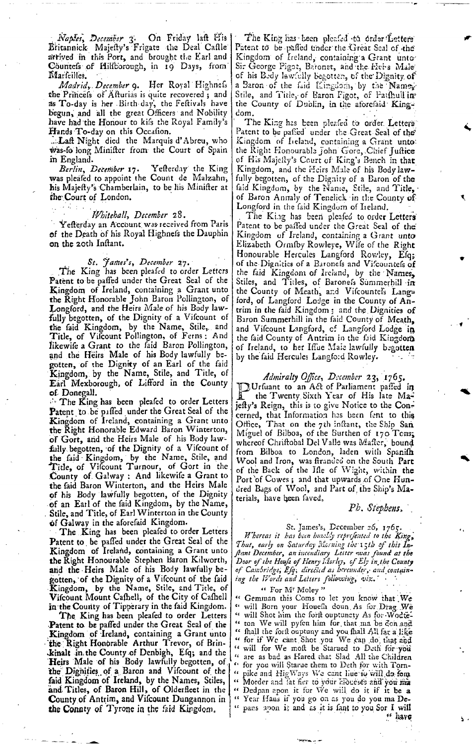- *Naples, December* 3. On Friday laft His Britannick-Majesty's Frigate the Deal Castle' arrived in this Port, and brought the Earl and Countefs of Hilfborough, in 19 Days, from Marfeilles.

*Madrid, December* 9. Her Royal Highness the Princess of Afturias is quite recovered; and as To-day is her Birth-day, the Feltivals have begun, and all the great Officers and Nobility have had the Honour to kifs the Royal Family's Hands To-day on this Occafion.

...Laft Night died the Marquis d'Abreu, who was-fo long Minifter from the Court of Spain in England.

*Berlin, December* 17. Yefterday the King was pleafed to appoint the Count de Malzahn, his Majefty's Chamberlain, to be liis Minifter at fheCourt of London.

#### *iVhiiehall, December* 28 .

Yefterday an Account was received from Paris of the Death of his Royal Highness the Dauphin on the 20th Inftant.

#### *St. James's, December* 27.

The King has been pleafed to order Letters Patent to be paffed under the Great Seal of the Kingdom of Ireland, containing a Grant unto the Right Honorable John Baron Pollington, of Longford, and the Heirs Male of his Body lawfully begotten, of the Dignity of a Vifcount of the faid Kingdom, by the Name, Stile, and Title, of Viscount Pollington, of Ferns: And likewife a Grant to the faid Baron Pollington, and the Heirs Male of his Body lawfully begotten, of the Dignity of an Earl of the faid Kingdom, by the Name, Stile, and Title, of Earl Mexborougb, of Lifford in the County of Doncgall.

*••* The King has been pleafed to order Letters Patent to be paffed under the Great Seal of the Kingdom of Ireland, containing a Grant unto the Right Honorable Edward Baron Winterton, of Gort, and the Heirs Male of his Body lawfully begotten, of the Dignity of a Viscount of the faid Kingdom, by the Name, Stile, and Title, of Viscount Turnour, of Gort in the County of Galway : And likewife a Grant to the faid Baron Winterton, and the Heirs Male of his Body lawfully begotten, of the Dignity of an Earl of the faid Kingdom, by the Name, . Stile, and Title, of Earl Winterton in the County of Galway in the aforefaid Kingdom.

The King has been pleafed to order Letters Patent to be paffed under the Great Seal of the Kingdom of Ireland, containing a Grant unto the Right Honourable Stephen Baron Kilworth, and the Heirs Male of his Body lawfully begotten, of the Dignity of a Viscount of the faid Kingdom, by the Name, Stile, and Title, of Vifcount Mount Cafhell, of the City of Cafhell in the County of Tipperary in the faid Kingdom.

The King has been pleafed to order Letters Patent to be paffed under the Great Seal of the Kingdom of Ireland, containing a Grant unto the Right Honorable Arthur Trevor, of Brin-Jet in the County of Denbigh, Efq; and the Heirs Male of his Body lawfully begotten, of the Dignities of a Baron and Viscount of the faid Kingdom of Ireland, by the Names, Stiles, and Titles, of Baron Hill, of Olderfleet in the **County of Antrim, and Viscount Dungannon in**  the Connty of Tyrone in the faid Kingdom,

The King has been pleafed to order Letters' Patent to be paffed under the Great Scal of the Kingdom of Ireland, containing a Grant unto Sir George Pigot, Baronet, and the Hei-s Male of his Bedy lawfully begotten, of the Dignity of a Baron of the faid Kingdom, by the Namex-Stile, and Title, of Baron Figot, of Faithull in the County of Dublin, in the aforefaid Kingdom. And the contract of the contract of the contract of the contract of the contract of the contract of the contract of the contract of the contract of the contract of the contract of the contract of the contract of the c

The King has been pleafed to order. Letters Patent to be pafied' under the Great Seal of the Kingdom of Ireland, containing a Grant unto: the Right Honourable John Gore, Chief Juftice of His Majefly's Court of King's Bench in that Kingdom, and the Heirs Male of his Body lawfully begotten, of the Dignity of a Baron of the faid Kingdom, *by* the Name, Stile, and Title, • of Baron Annaly of Teneiick in the County of Longford in the faid Kingdom of Iieland.

The King has been pleafed to order Letters' Patent to be paffed under the Great Seal of the Kingdom of Ireland, containing a Grant unto Elizabeth Ormfby Rowleye, Wife of the Right Honourable Hercules Langford Rowley, Efq; of the Dignities of a Baronels and Vifcountels of the faid Kingdom of Ireland, by the Names, Stiles, and Titles, of Baroness Summerhill in the County of Meath, and Viscountess Langford, of Langford Lodge in the County of Antrim in the faid Kingdom; and the Dignities of Baron Summerhill in the faid County of Meath, and Vifcount Langford, of Langford Lodge in the faid County of Antrim in the faid Kingdom of Ireland, to her Iffue Maie lawfully begotten by the faid Hercules Langford Rowley.

*Admiralty Ofiice, December* 23, 1765. TOHrsuant to an Act of Parliament passed *in*  the Twenty Sixth Year of His late Majefty's Reign, this is to give Notice to the Concerned, that Information has been fent to this Office, That on the 7th inftant, the Ship San Miguel of Bilboa, of the Burthen of 170 Tons; whereof Chriftobal Del Valle was Mafter, bound from Bilboa to London, laden with Spanifh Wool and Iron, was firanded on the South Part of the Back of the Ifle of Wight, within the Port of Cowes; and that upwards of One Hundred Bags of Wool, and Part of the Ship's Materials, have been faved.

### *Pb. Stephens,*

## St. James's, December *26, 1765. .*

*Whereas it has ban humbly represented to the Kitig<sup>9</sup>* That, early on Saturday Morning the 15th of this In-*Jlant December, an incendiary Letter ivas found at the Door ofthe House of Henry Morley, cf Ely in J be County of Cambridge, Esq; direded as hereunder,- aud contain-' ing the Words and Letters following, viz.' • '•* 

## " For M<sup>r</sup> Moley"

" Gemman this Coms to let you know that We will Born your Houefh doun As for Drag We <sup>4</sup> will Shot him the forlt ouptunety As for Wodte-" ton We will pyfen him for that ma be den and " fhall the forft ouptuny and you fhall All far a like<br>" for if We cant. Shot you We can do, that and " will for We moft be Starued to Deth for you are as bad as Hared that Slad All the Children " fbr you will Starue them to Deth for with Torn pike and HigWays We cant liue to will do for " Morder and fat fier to your Houeses and you ma Dedpan apon it for We will do it if it be a " Year Haas if you go on as you do you ma De- " pans apon it and as it is fant to you Sor I will <sup>66</sup> have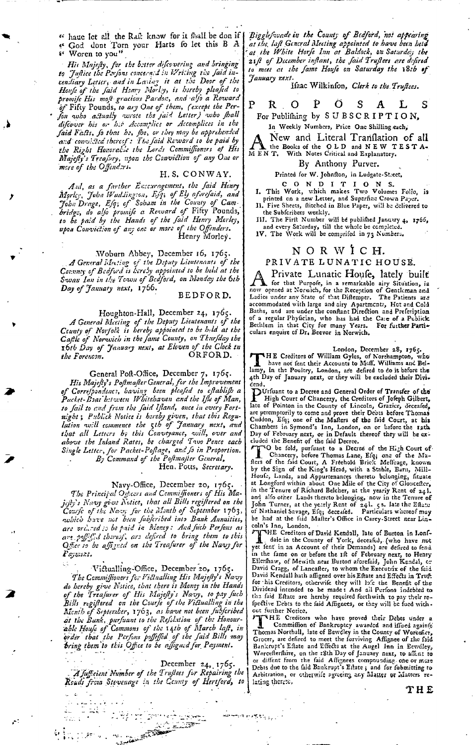" haue let all the Raft know for it fhall be don if [ " God dont Torn your Harts fo let this B A Woren to you"

His Majesty, for the better difcovering and bringing<br>to Justice the Porfons concerned in Writing the faid incendiary Letter, and in Laving it at the Door of the Houfe of the faid Henry Morley, is hereby pleafed to promife His moft gracious Pardon, and alfo a Reward of Fifty Pounds, to ary One of them, (except the Per-Jon who actually wrote the jaid Letter) who shall difcover his or his Accomplice or Accomplices in the faid Fasts, fo that he, fhe, or they may be apprehended<br>and convinted thereof: The faid Reward to be paid by the Right Honorabie the Lords Commiffeeners of His<br>
Majefly's Treafury, upon the Conviction of any One or<br>
more of the Offendors.

#### H.S. CONWAY.

And, as a farther Encouragement, the faid Henry<br>Mgrley, John Waddington, Eft, of Ely aforefaid, and<br>John Drage, Eft, of Soham in the County of Cam-<br>bridge, do alfo promife a Revoard of Fifty Pounds,<br>to be paid by the Hands upon Conviction of any one or more of the Offenders.

Woburn Abbey, December 16, 1765.<br>A General Mecting of the Deputy Lieutenauts of the Counney of Bedford is hereby appointed to be held at the Swan Inn in the Town of Bedford, on Monday the 6th Day of January next, 1766.

BEDFORD.

Houghton-Hall, December 24, 1765.<br>A General Meeting of the Deputy Lieutenants of the<br>County of Norfolk is hereby appointed to be held at the Cafile of Norwich in the fame County, on Thurfday the<br>
1967 The Same County, on Thurfday the<br>
1967 The Society of Tanuary next, at Eleven of the Clock the<br>
1968 ORFORD. the Forencon.

General Poft-Office, December 7, 1765. His Majesty's Postmaster General, for the Improvement<br>of Correspondence, having been pleased to establish a Packet-Brat between Whitehaven and the Ifle of Man, to fail to and from the faid Ifland, once in every Fortn ght is Publick Notice is hereby given, that this Regulation will commence the 5th of January next, and<br>that all Letters by this Conveyance, will, over and<br>above the Inland Rates, be charged Two Pence each Single Letter, for Packet-Postage, and fo in Proportion. By Command of the Postmajter General,

Hen. Potts, Secretary.

Navy-Office, December 20, 1765.

The Principal Officers and Commiffioners of His Majifty's Navy gives National Call Bills registered on the<br>jifty's Navy gives Natice, that all Bills registered on the<br>Courfe of the Navy for the Month of September 1763,<br>author have not been fubferibed into Bank Annuities, are ordered to be paid in Money: And fuch Perfons as are poffifid thereof, are defined to bring them to this Payment.

Victualling-Office, December 20, 1765.

The Commissioners for Victualling His Majesty's Navy do hereby give Natice, that there is Money in the Hands<br>of the Treafurer of His Majefly's Navy, to pay fuch Bills registered on the Courte of the Victualling in the<br>Menth of Septender, 1763, as have not been fubferibed at the Bunk, purfuant to the Refslation of the Honour-<br>able Houfe of Commons of the 14th of March laft, in order that the Perfons poffeffed of the faid Bills may bring them to this Office to be affigned for Payment.

December 24, 1765. A sufficient Number of the Truflees for Repairing the Reads from Stevenage in the County of Hertford, to

france eks

 $\sim$   $^{2}$ تعفقته men e offisi<sub>t de</sub> l

æ.

Bigglefwade in the County of Bedford, not appearing at the laft General Meeting appointed to have been held<br>at the White Horfe Inn at Baldock, on Saturday the 21ft of December inftant, the faid Truftees are defired to meet at the fame Houfe on Saturday the 18th of January next.

Haac Wilkinfon, Clerk to the Truffees.

P Ó S A  $R \quad O$ L S

For Publifhing by SUBSCRIPTION, In Weekly Numbers, Price One Shilling each,

New and Literal Tranflation of all the Books of the OLD and NEW TESTA-MENT.

#### By Anthony Purver.

Printed for W. Johnfton, in Ludgate-Street,

CONDITIONS.<br>I. This Work, which makes Two Volumes Folio, is printed on a new Letter, and Superfine Crown Paper.<br>II. Five Sheets, flitched in Blue Paper, will be delivered to

11. Pre Subferibers weekly.<br>
THE Subferibers weekly.<br>
THE First Number will be publified January 4, 1765,<br>
and every Saturday, till the whole be completed.<br>
1V. The Work will be comprised in 73 Numbers.

## NORWICH.

#### PRIVATE LUNATIC HOUSE.

Private Lunatic Houfe, lately built The for that Purpole, in a remarkable airy Situation, is now opened at Norwich, for the Reception of Gentleman and Ladies under any State of that Diffemper. The Patients are Exercise under the conflict pharmeters. The accommodated with large and airy Apartments, Het and Cold Baths, and are under the conflant Direction and Prefeription of a regular Phylician, who has had the Ca:e of a Publick B culars enquire of Dr. Beevor in Norwich.

## London, December 28, 1765.

London, December 28, 1765.<br>
THE Creditors of William Gyles, of Northampton, who<br>have not fent their Accounts to Meff. Williams and Bel-<br>
lamy, in the Poultry, London, are defired to do it before the<br>
4th Day of January nex dend.

DUriuant to a Decree and General Order of Transfer of the Fight Court of Chancery, the Creditors of Joseph Gilbert,<br>Inter of Pointon in the Country of Lincoln, Grazier, deceased,<br>are peremptorily to come and prove their Debts before Thomas<br>Cluddon, Efq. one of the Malfers of the

cluded the Beneht of the taid Decree.<br>
The fold, purfuant to a Decree of the High Court of<br>
The fold, purfuant to a Decree of the High Court of<br>
Inters of the faid Court, A Freehold Brick Mefliage, known<br>
by the Sign of th and also other Lands thereto belonging, now in the Tenure of<br>and also other Lands thereto belonging, now in the Tenure of<br>John Turner, at the yearly Rent of 241. 5s. late the Effacts<br>of Nathaniel Savage, Efq; deceased. Par

coln's Inn, London,<br>
The Creditors of David Kendall, late of Burton in London,<br>
A THE Creditors of David Kendall, late of Burton in Londdole in the County of York, deceafed, (who have not yet fent in an Account of their Demands) are defined to fend on the fame on or before the 1ft of February next, to Henry<br>Ellerfhaw, of Mewith near Burton aforefaid, John Kendal, ex<br>David Cragg, of Lancafter, to whom the Executrix of the faid David Kendall hath affigned over his Eftate and Effects in Truft For this Creditors, otherwife they will hofe the Benefit of the<br>for this Creditors, otherwife they will hofe the Benefit of the<br>Dividend intended to be made: And all Perfons indebted to<br>the faid Eftate are hereby required out further Notice.

For HE Creditors who have proved their Debts under a<br>Commiffion of Bankruptcy awarded and iffued again fr<br>Thomas Northall, late of Bewdley in the County of Worcefier,<br>Grocer, are defired to meet the furviving Affignee of t District of the Skh Day of January next, to affect to<br>or diffent from the faid Affignees compounding, one or more Debts due to the faid Bankrupt's Eftate; and for fubmitting to Arbitration, or otherwife agreeing any Matter or Matters relating therate,